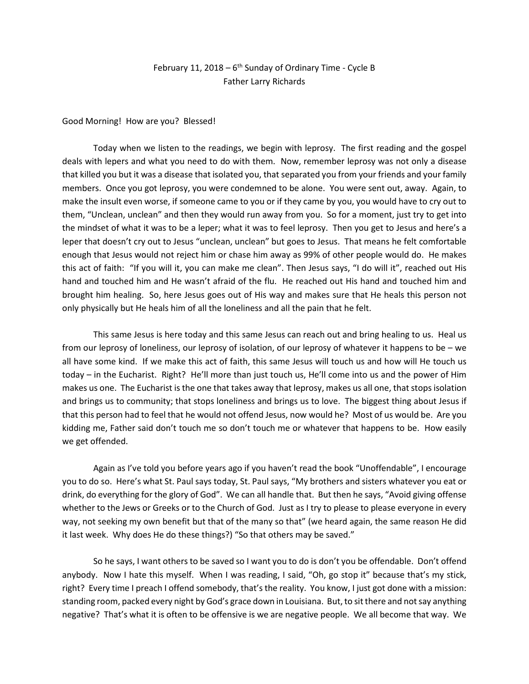## February 11, 2018 –  $6<sup>th</sup>$  Sunday of Ordinary Time - Cycle B Father Larry Richards

Good Morning! How are you? Blessed!

Today when we listen to the readings, we begin with leprosy. The first reading and the gospel deals with lepers and what you need to do with them. Now, remember leprosy was not only a disease that killed you but it was a disease that isolated you, that separated you from your friends and your family members. Once you got leprosy, you were condemned to be alone. You were sent out, away. Again, to make the insult even worse, if someone came to you or if they came by you, you would have to cry out to them, "Unclean, unclean" and then they would run away from you. So for a moment, just try to get into the mindset of what it was to be a leper; what it was to feel leprosy. Then you get to Jesus and here's a leper that doesn't cry out to Jesus "unclean, unclean" but goes to Jesus. That means he felt comfortable enough that Jesus would not reject him or chase him away as 99% of other people would do. He makes this act of faith: "If you will it, you can make me clean". Then Jesus says, "I do will it", reached out His hand and touched him and He wasn't afraid of the flu. He reached out His hand and touched him and brought him healing. So, here Jesus goes out of His way and makes sure that He heals this person not only physically but He heals him of all the loneliness and all the pain that he felt.

This same Jesus is here today and this same Jesus can reach out and bring healing to us. Heal us from our leprosy of loneliness, our leprosy of isolation, of our leprosy of whatever it happens to be – we all have some kind. If we make this act of faith, this same Jesus will touch us and how will He touch us today – in the Eucharist. Right? He'll more than just touch us, He'll come into us and the power of Him makes us one. The Eucharist is the one that takes away that leprosy, makes us all one, that stops isolation and brings us to community; that stops loneliness and brings us to love. The biggest thing about Jesus if that this person had to feel that he would not offend Jesus, now would he? Most of us would be. Are you kidding me, Father said don't touch me so don't touch me or whatever that happens to be. How easily we get offended.

Again as I've told you before years ago if you haven't read the book "Unoffendable", I encourage you to do so. Here's what St. Paul says today, St. Paul says, "My brothers and sisters whatever you eat or drink, do everything for the glory of God". We can all handle that. But then he says, "Avoid giving offense whether to the Jews or Greeks or to the Church of God. Just as I try to please to please everyone in every way, not seeking my own benefit but that of the many so that" (we heard again, the same reason He did it last week. Why does He do these things?) "So that others may be saved."

So he says, I want others to be saved so I want you to do is don't you be offendable. Don't offend anybody. Now I hate this myself. When I was reading, I said, "Oh, go stop it" because that's my stick, right? Every time I preach I offend somebody, that's the reality. You know, I just got done with a mission: standing room, packed every night by God's grace down in Louisiana. But, to sit there and not say anything negative? That's what it is often to be offensive is we are negative people. We all become that way. We